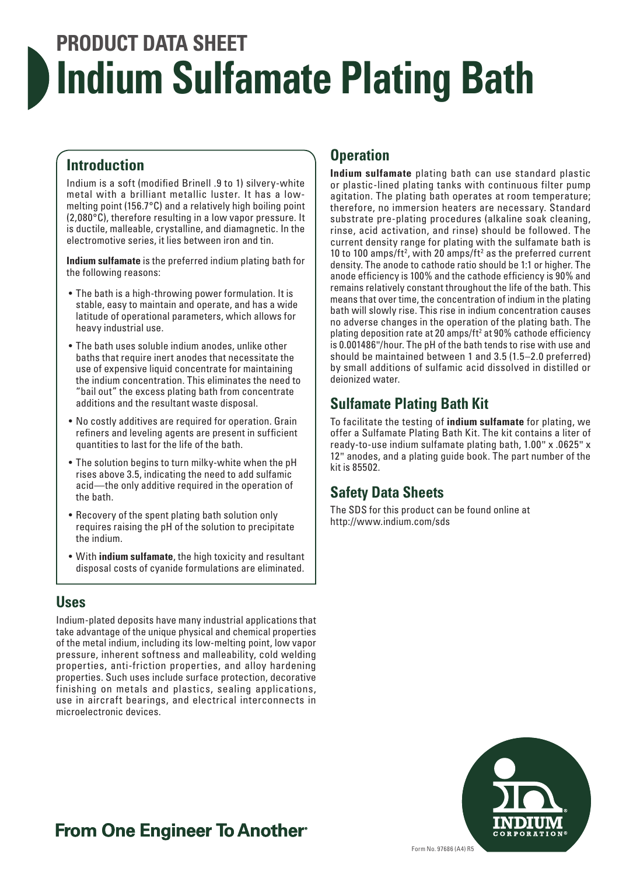# **PRODUCT DATA SHEET Indium Sulfamate Plating Bath**

#### **Introduction**

Indium is a soft (modified Brinell .9 to 1) silvery-white metal with a brilliant metallic luster. It has a lowmelting point (156.7°C) and a relatively high boiling point (2,080°C), therefore resulting in a low vapor pressure. It is ductile, malleable, crystalline, and diamagnetic. In the electromotive series, it lies between iron and tin.

**Indium sulfamate** is the preferred indium plating bath for the following reasons:

- The bath is a high-throwing power formulation. It is stable, easy to maintain and operate, and has a wide latitude of operational parameters, which allows for heavy industrial use.
- The bath uses soluble indium anodes, unlike other baths that require inert anodes that necessitate the use of expensive liquid concentrate for maintaining the indium concentration. This eliminates the need to "bail out" the excess plating bath from concentrate additions and the resultant waste disposal.
- No costly additives are required for operation. Grain refiners and leveling agents are present in sufficient quantities to last for the life of the bath.
- The solution begins to turn milky-white when the pH rises above 3.5, indicating the need to add sulfamic acid—the only additive required in the operation of the bath.
- Recovery of the spent plating bath solution only requires raising the pH of the solution to precipitate the indium.
- With **indium sulfamate**, the high toxicity and resultant disposal costs of cyanide formulations are eliminated.

#### **Uses**

Indium-plated deposits have many industrial applications that take advantage of the unique physical and chemical properties of the metal indium, including its low-melting point, low vapor pressure, inherent softness and malleability, cold welding properties, anti-friction properties, and alloy hardening properties. Such uses include surface protection, decorative finishing on metals and plastics, sealing applications, use in aircraft bearings, and electrical interconnects in microelectronic devices.

#### **Operation**

**Indium sulfamate** plating bath can use standard plastic or plastic-lined plating tanks with continuous filter pump agitation. The plating bath operates at room temperature; therefore, no immersion heaters are necessary. Standard substrate pre-plating procedures (alkaline soak cleaning, rinse, acid activation, and rinse) should be followed. The current density range for plating with the sulfamate bath is 10 to 100 amps/ft<sup>2</sup>, with 20 amps/ft<sup>2</sup> as the preferred current density. The anode to cathode ratio should be 1:1 or higher. The anode efficiency is 100% and the cathode efficiency is 90% and remains relatively constant throughout the life of the bath. This means that over time, the concentration of indium in the plating bath will slowly rise. This rise in indium concentration causes no adverse changes in the operation of the plating bath. The plating deposition rate at 20 amps/ft<sup>2</sup> at 90% cathode efficiency is 0.001486"/hour. The pH of the bath tends to rise with use and should be maintained between 1 and 3.5 (1.5–2.0 preferred) by small additions of sulfamic acid dissolved in distilled or deionized water.

#### **Sulfamate Plating Bath Kit**

To facilitate the testing of **indium sulfamate** for plating, we offer a Sulfamate Plating Bath Kit. The kit contains a liter of ready-to-use indium sulfamate plating bath, 1.00" x .0625" x 12" anodes, and a plating guide book. The part number of the kit is 85502.

#### **Safety Data Sheets**

The SDS for this product can be found online at http://www.indium.com/sds



### **From One Engineer To Another**